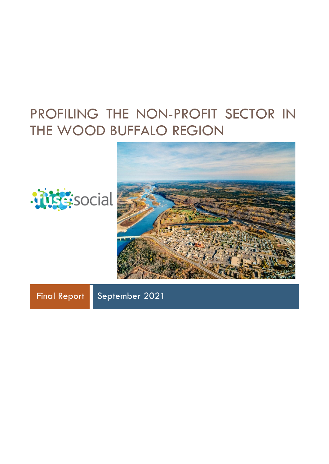# PROFILING THE NON-PROFIT SECTOR IN THE WOOD BUFFALO REGION





Final Report September 2021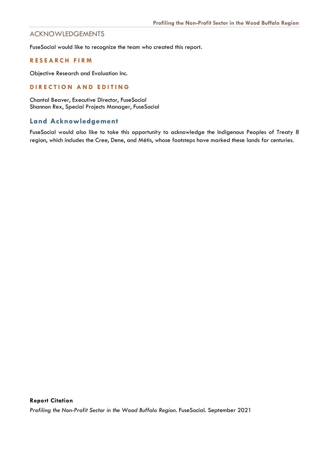# ACKNOWLEDGEMENTS

FuseSocial would like to recognize the team who created this report.

# **RESEARCH FIRM**

Objective Research and Evaluation Inc.

# **DIRECTION AND EDITING**

Chantal Beaver, Executive Director, FuseSocial Shannon Rex, Special Projects Manager, FuseSocial

# **Land Acknowledgement**

FuseSocial would also like to take this opportunity to acknowledge the Indigenous Peoples of Treaty 8 region, which includes the Cree, Dene, and Métis, whose footsteps have marked these lands for centuries.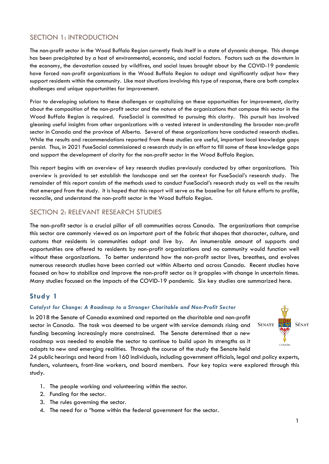# SECTION 1: INTRODUCTION

The non-profit sector in the Wood Buffalo Region currently finds itself in a state of dynamic change. This change has been precipitated by a host of environmental, economic, and social factors. Factors such as the downturn in the economy, the devastation caused by wildfires, and social issues brought about by the COVID-19 pandemic have forced non-profit organizations in the Wood Buffalo Region to adapt and significantly adjust how they support residents within the community. Like most situations involving this type of response, there are both complex challenges and unique opportunities for improvement.

Prior to developing solutions to these challenges or capitalizing on these opportunities for improvement, clarity about the composition of the non-profit sector and the nature of the organizations that compose this sector in the Wood Buffalo Region is required. FuseSocial is committed to pursuing this clarity. This pursuit has involved gleaning useful insights from other organizations with a vested interest in understanding the broader non-profit sector in Canada and the province of Alberta. Several of these organizations have conducted research studies. While the results and recommendations reported from these studies are useful, important local knowledge gaps persist. Thus, in 2021 FuseSocial commissioned a research study in an effort to fill some of these knowledge gaps and support the development of clarity for the non-profit sector in the Wood Buffalo Region.

This report begins with an overview of key research studies previously conducted by other organizations. This overview is provided to set establish the landscape and set the context for FuseSocial's research study. The remainder of this report consists of the methods used to conduct FuseSocial's research study as well as the results that emerged from the study. It is hoped that this report will serve as the baseline for all future efforts to profile, reconcile, and understand the non-profit sector in the Wood Buffalo Region.

# SECTION 2: RELEVANT RESEARCH STUDIES

The non-profit sector is a crucial pillar of all communities across Canada. The organizations that comprise this sector are commonly viewed as an important part of the fabric that shapes that character, culture, and customs that residents in communities adopt and live by. An innumerable amount of supports and opportunities are offered to residents by non-profit organizations and no community would function well without these organizations. To better understand how the non-profit sector lives, breathes, and evolves numerous research studies have been carried out within Alberta and across Canada. Recent studies have focused on how to stabilize and improve the non-profit sector as it grapples with change in uncertain times. Many studies focused on the impacts of the COVID-19 pandemic. Six key studies are summarized here.

# **Study 1**

# *Catalyst for Change: A Roadmap to a Stronger Charitable and Non-Profit Sector*

In 2018 the Senate of Canada examined and reported on the charitable and non-profit sector in Canada. The task was deemed to be urgent with service demands rising and funding becoming increasingly more constrained. The Senate determined that a new roadmap was needed to enable the sector to continue to build upon its strengths as it adapts to new and emerging realities. Through the course of the study the Senate held



24 public hearings and heard from 160 individuals, including government officials, legal and policy experts, funders, volunteers, front-line workers, and board members. Four key topics were explored through this study.

- 1. The people working and volunteering within the sector.
- 2. Funding for the sector.
- 3. The rules governing the sector.
- 4. The need for a "home within the federal government for the sector.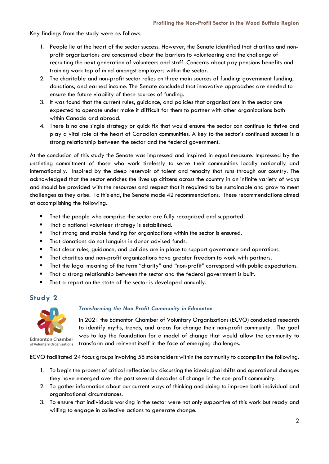Key findings from the study were as follows.

- 1. People lie at the heart of the sector success. However, the Senate identified that charities and nonprofit organizations are concerned about the barriers to volunteering and the challenge of recruiting the next generation of volunteers and staff. Concerns about pay pensions benefits and training work top of mind amongst employers within the sector.
- 2. The charitable and non-profit sector relies on three main sources of funding: government funding, donations, and earned income. The Senate concluded that innovative approaches are needed to ensure the future viability of these sources of funding.
- 3. It was found that the current rules, guidance, and policies that organisations in the sector are expected to operate under make it difficult for them to partner with other organizations both within Canada and abroad.
- 4. There is no one single strategy or quick fix that would ensure the sector can continue to thrive and play a vital role at the heart of Canadian communities. A key to the sector's continued success is a strong relationship between the sector and the federal government.

At the conclusion of this study the Senate was impressed and inspired in equal measure. Impressed by the unstinting commitment of those who work tirelessly to serve their communities locally nationally and internationally. Inspired by the deep reservoir of talent and tenacity that runs through our country. The acknowledged that the sector enriches the lives up citizens across the country in an infinite variety of ways and should be provided with the resources and respect that it required to be sustainable and grow to meet challenges as they arise. To this end, the Senate made 42 recommendations. These recommendations aimed at accomplishing the following.

- **That the people who comprise the sector are fully recognized and supported.**
- **That a national volunteer strategy is established.**
- That strong and stable funding for organizations within the sector is ensured.
- **That donations do not languish in donor advised funds.**
- **That clear rules, guidance, and policies are in place to support governance and operations.**
- **That charities and non-profit organizations have greater freedom to work with partners.**
- That the legal meaning of the term "charity" and "non-profit" correspond with public expectations.
- That a strong relationship between the sector and the federal government is built.
- That a report on the state of the sector is developed annually.

# **Study 2**



of Voluntary Organizations

*Transforming the Non-Profit Community in Edmonton*

In 2021 the Edmonton Chamber of Voluntary Organizations (ECVO) conducted research to identify myths, trends, and areas for change their non-profit community. The goal was to lay the foundation for a model of change that would allow the community to transform and reinvent itself in the face of emerging challenges.

ECVO facilitated 24 focus groups involving 58 stakeholders within the community to accomplish the following.

- 1. To begin the process of critical reflection by discussing the ideological shifts and operational changes they have emerged over the past several decades of change in the non-profit community.
- 2. To gather information about our current ways of thinking and doing to improve both individual and organizational circumstances.
- 3. To ensure that individuals working in the sector were not only supportive of this work but ready and willing to engage in collective actions to generate change.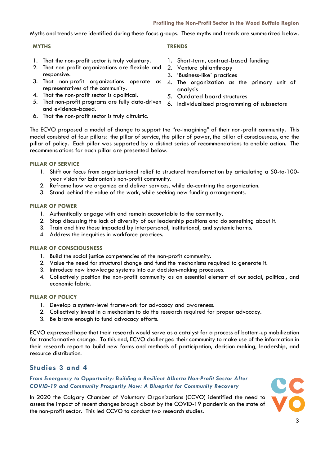Myths and trends were identified during these focus groups. These myths and trends are summarized below.

- 1. That the non-profit sector is truly voluntary.
- 2. That non-profit organizations are flexible and responsive.
- 3. That non-profit organizations operate as representatives of the community.
- 4. That the non-profit sector is apolitical.
- 5. That non-profit programs are fully data-driven and evidence-based.
- 6. That the non-profit sector is truly altruistic.

# **MYTHS TRENDS**

- 1. Short-term, contract-based funding
- 2. Venture philanthropy
- 3. 'Business-like' practices
- 4. The organization as the primary unit of analysis
- 5. Outdated board structures
- 6. Individualized programming of subsectors

The ECVO proposed a model of change to support the "re-imagining" of their non-profit community. This model consisted of four pillars: the pillar of service, the pillar of power, the pillar of consciousness, and the pillar of policy. Each pillar was supported by a distinct series of recommendations to enable action. The recommendations for each pillar are presented below.

# **PILLAR OF SERVICE**

- 1. Shift our focus from organizational relief to structural transformation by articulating a 50-to-100 year vision for Edmonton's non-profit community.
- 2. Reframe how we organize and deliver services, while de-centring the organization.
- 3. Stand behind the value of the work, while seeking new funding arrangements.

# **PILLAR OF POWER**

- 1. Authentically engage with and remain accountable to the community.
- 2. Stop discussing the lack of diversity of our leadership positions and do something about it.
- 3. Train and hire those impacted by interpersonal, institutional, and systemic harms.
- 4. Address the inequities in workforce practices.

# **PILLAR OF CONSCIOUSNESS**

- 1. Build the social justice competencies of the non-profit community.
- 2. Value the need for structural change and fund the mechanisms required to generate it.
- 3. Introduce new knowledge systems into our decision-making processes.
- 4. Collectively position the non-profit community as an essential element of our social, political, and economic fabric.

# **PILLAR OF POLICY**

- 1. Develop a system-level framework for advocacy and awareness.
- 2. Collectively invest in a mechanism to do the research required for proper advocacy.
- 3. Be brave enough to fund advocacy efforts.

ECVO expressed hope that their research would serve as a catalyst for a process of bottom-up mobilization for transformative change. To this end, ECVO challenged their community to make use of the information in their research report to build new forms and methods of participation, decision making, leadership, and resource distribution.

# **Studies 3 and 4**

*From Emergency to Opportunity: Building a Resilient Alberta Non-Profit Sector After COVID-19 and Community Prosperity Now: A Blueprint for Community Recovery*

In 2020 the Calgary Chamber of Voluntary Organizations (CCVO) identified the need to assess the impact of recent changes brough about by the COVID-19 pandemic on the state of the non-profit sector. This led CCVO to conduct two research studies.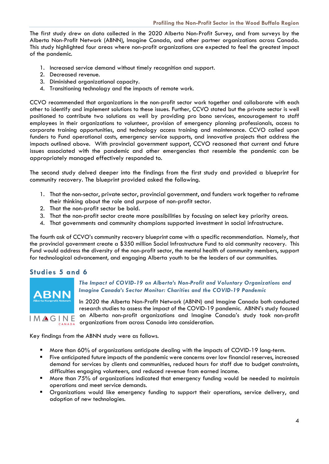The first study drew on data collected in the 2020 Alberta Non-Profit Survey, and from surveys by the Alberta Non-Profit Network (ABNN), Imagine Canada, and other partner organizations across Canada. This study highlighted four areas where non-profit organizations are expected to feel the greatest impact of the pandemic.

- 1. Increased service demand without timely recognition and support.
- 2. Decreased revenue.
- 3. Diminished organizational capacity.
- 4. Transitioning technology and the impacts of remote work.

CCVO recommended that organizations in the non-profit sector work together and collaborate with each other to identify and implement solutions to these issues. Further, CCVO stated but the private sector is well positioned to contribute two solutions as well by providing pro bono services, encouragement to staff employees in their organizations to volunteer, provision of emergency planning professionals, access to corporate training opportunities, and technology access training and maintenance. CCVO called upon funders to Fund operational costs, emergency service supports, and innovative projects that address the impacts outlined above. With provincial government support, CCVO reasoned that current and future issues associated with the pandemic and other emergencies that resemble the pandemic can be appropriately managed effectively responded to.

The second study delved deeper into the findings from the first study and provided a blueprint for community recovery. The blueprint provided asked the following.

- 1. That the non-sector, private sector, provincial government, and funders work together to reframe their thinking about the role and purpose of non-profit sector.
- 2. That the non-profit sector be bold.
- 3. That the non-profit sector create more possibilities by focusing on select key priority areas.
- 4. That governments and community champions supported investment in social infrastructure.

The fourth ask of CCVO's community recovery blueprint came with a specific recommendation. Namely, that the provincial government create a \$350 million Social Infrastructure Fund to aid community recovery. This Fund would address the diversity of the non-profit sector, the mental health of community members, support for technological advancement, and engaging Alberta youth to be the leaders of our communities.

# **Studies 5 and 6**



# *The Impact of COVID-19 on Alberta's Non-Profit and Voluntary Organizations and Imagine Canada's Sector Monitor: Charities and the COVID-19 Pandemic*

In 2020 the Alberta Non-Profit Network (ABNN) and Imagine Canada both conducted research studies to assess the impact of the COVID-19 pandemic. ABNN's study focused on Alberta non-profit organizations and Imagine Canada's study took non-profit organizations from across Canada into consideration.

Key findings from the ABNN study were as follows.

- More than 60% of organizations anticipate dealing with the impacts of COVID-19 long-term.
- Five anticipated future impacts of the pandemic were concerns over low financial reserves, increased demand for services by clients and communities, reduced hours for staff due to budget constraints, difficulties engaging volunteers, and reduced revenue from earned income.
- **More than 75% of organizations indicated that emergency funding would be needed to maintain** operations and meet service demands.
- Organizations would like emergency funding to support their operations, service delivery, and adoption of new technologies.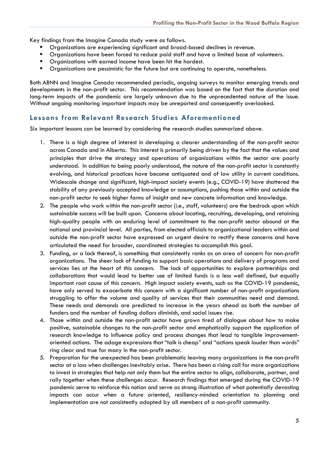Key findings from the Imagine Canada study were as follows.

- Organizations are experiencing significant and broad-based declines in revenue.
- **•** Organizations have been forced to reduce paid staff and have a limited base of volunteers.
- **•** Organizations with earned income have been hit the hardest.
- **•** Organizations are pessimistic for the future but are continuing to operate, nonetheless.

Both ABNN and Imagine Canada recommended periodic, ongoing surveys to monitor emerging trends and developments in the non-profit sector. This recommendation was based on the fact that the duration and long-term impacts of the pandemic are largely unknown due to the unprecedented nature of the issue. Without ongoing monitoring important impacts may be unreported and consequently overlooked.

# **Lessons from Relevant Research Studies Aforementioned**

Six important lessons can be learned by considering the research studies summarized above.

- 1. There is a high degree of interest in developing a clearer understanding of the non-profit sector across Canada and in Alberta. This interest is primarily being driven by the fact that the values and principles that drive the strategy and operations of organizations within the sector are poorly understood. In addition to being poorly understood, the nature of the non-profit sector is constantly evolving, and historical practices have become antiquated and of low utility in current conditions. Widescale change and significant, high-impact society events (e.g., COVID-19) have shattered the stability of any previously accepted knowledge or assumptions, pushing those within and outside the non-profit sector to seek higher forms of insight and new concrete information and knowledge.
- 2. The people who work within the non-profit sector (i.e., staff, volunteers) are the bedrock upon which sustainable success will be built upon. Concerns about locating, recruiting, developing, and retaining high-quality people with an enduring level of commitment to the non-profit sector abound at the national and provincial level. All parties, from elected officials to organizational leaders within and outside the non-profit sector have expressed an urgent desire to rectify these concerns and have articulated the need for broader, coordinated strategies to accomplish this goal.
- 3. Funding, or a lack thereof, is something that consistently ranks as an area of concern for non-profit organizations. The sheer lack of funding to support basic operations and delivery of programs and services lies at the heart of this concern. The lack of opportunities to explore partnerships and collaborations that would lead to better use of limited funds is a less well defined, but equally important root cause of this concern. High impact society events, such as the COVID-19 pandemic, have only served to exacerbate this concern with a significant number of non-profit organizations struggling to offer the volume and quality of services that their communities need and demand. These needs and demands are predicted to increase in the years ahead as both the number of funders and the number of funding dollars diminish, and social issues rise.
- 4. Those within and outside the non-profit sector have grown tired of dialogue about how to make positive, sustainable changes to the non-profit sector and emphatically support the application of research knowledge to influence policy and process changes that lead to tangible improvementoriented actions. The adage expressions that "talk is cheap" and "actions speak louder than words" ring clear and true for many in the non-profit sector.
- 5. Preparation for the unexpected has been problematic leaving many organizations in the non-profit sector at a loss when challenges inevitably arise. There has been a rising call for more organizations to invest in strategies that help not only them but the entire sector to align, collaborate, partner, and rally together when these challenges occur. Research findings that emerged during the COVID-19 pandemic serve to reinforce this notion and serve as strong illustration of what potentially devasting impacts can occur when a future oriented, resiliency-minded orientation to planning and implementation are not consistently adopted by all members of a non-profit community.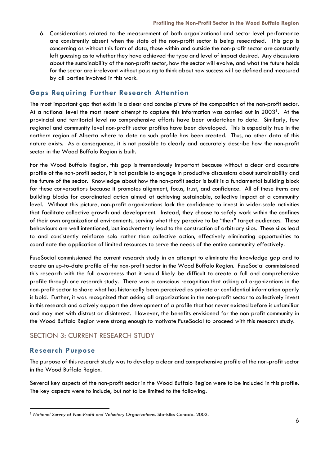6. Considerations related to the measurement of both organizational and sector-level performance are consistently absent when the state of the non-profit sector is being researched. This gap is concerning as without this form of data, those within and outside the non-profit sector are constantly left guessing as to whether they have achieved the type and level of impact desired. Any discussions about the sustainability of the non-profit sector, how the sector will evolve, and what the future holds for the sector are irrelevant without pausing to think about how success will be defined and measured by all parties involved in this work.

# **Gaps Requiring Further Research Attention**

The most important gap that exists is a clear and concise picture of the composition of the non-profit sector. At a national level the most recent attempt to capture this information was carried out in 2003[1.](#page-7-0) At the provincial and territorial level no comprehensive efforts have been undertaken to date. Similarly, few regional and community level non-profit sector profiles have been developed. This is especially true in the northern region of Alberta where to date no such profile has been created. Thus, no other data of this nature exists. As a consequence, it is not possible to clearly and accurately describe how the non-profit sector in the Wood Buffalo Region is built.

For the Wood Buffalo Region, this gap is tremendously important because without a clear and accurate profile of the non-profit sector, it is not possible to engage in productive discussions about sustainability and the future of the sector. Knowledge about how the non-profit sector is built is a fundamental building block for these conversations because it promotes alignment, focus, trust, and confidence. All of these items are building blocks for coordinated action aimed at achieving sustainable, collective impact at a community level. Without this picture, non-profit organizations lack the confidence to invest in wider-scale activities that facilitate collective growth and development. Instead, they choose to safely work within the confines of their own organizational environments, serving what they perceive to be "their" target audiences. These behaviours are well intentioned, but inadvertently lead to the construction of arbitrary silos. These silos lead to and consistently reinforce solo rather than collective action, effectively eliminating opportunities to coordinate the application of limited resources to serve the needs of the entire community effectively.

FuseSocial commissioned the current research study in an attempt to eliminate the knowledge gap and to create an up-to-date profile of the non-profit sector in the Wood Buffalo Region. FuseSocial commissioned this research with the full awareness that it would likely be difficult to create a full and comprehensive profile through one research study. There was a conscious recognition that asking all organizations in the non-profit sector to share what has historically been perceived as private or confidential information openly is bold. Further, it was recognized that asking all organizations in the non-profit sector to collectively invest in this research and actively support the development of a profile that has never existed before is unfamiliar and may met with distrust or disinterest. However, the benefits envisioned for the non-profit community in the Wood Buffalo Region were strong enough to motivate FuseSocial to proceed with this research study.

# SECTION 3: CURRENT RESEARCH STUDY

# **Research Purpose**

The purpose of this research study was to develop a clear and comprehensive profile of the non-profit sector in the Wood Buffalo Region.

Several key aspects of the non-profit sector in the Wood Buffalo Region were to be included in this profile. The key aspects were to include, but not to be limited to the following.

<span id="page-7-0"></span><sup>1</sup> *National Survey of Non-Profit and Voluntary Organizations.* Statistics Canada. 2003.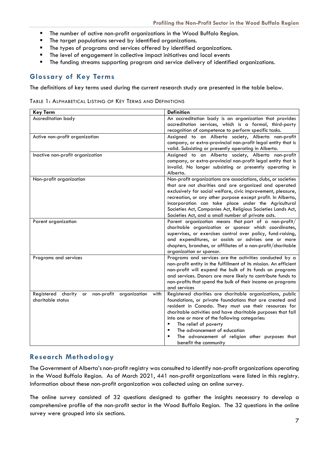- **The number of active non-profit organizations in the Wood Buffalo Region.**
- The target populations served by identified organizations.
- **The types of programs and services offered by identified organizations.**
- **The level of engagement in collective impact initiatives and local events**
- **The funding streams supporting program and service delivery of identified organizations.**

# **Glossary of Key Terms**

The definitions of key terms used during the current research study are presented in the table below.

TABLE 1: ALPHABETICAL LISTING OF KEY TERMS AND DEFINITIONS

| <b>Key Term</b>                                                                        | <b>Definition</b>                                                                                                                                                                                                                                                                                                                                                                                                                                   |
|----------------------------------------------------------------------------------------|-----------------------------------------------------------------------------------------------------------------------------------------------------------------------------------------------------------------------------------------------------------------------------------------------------------------------------------------------------------------------------------------------------------------------------------------------------|
| Accreditation body                                                                     | An accreditation body is an organization that provides<br>accreditation services, which is a formal, third-party<br>recognition of competence to perform specific tasks.                                                                                                                                                                                                                                                                            |
| Active non-profit organization                                                         | Assigned to an Alberta society, Alberta non-profit<br>company, or extra-provincial non-profit legal entity that is<br>valid. Subsisting or presently operating in Alberta.                                                                                                                                                                                                                                                                          |
| Inactive non-profit organization                                                       | Assigned to an Alberta society, Alberta non-profit<br>company, or extra-provincial non-profit legal entity that is<br>invalid. No longer subsisting or presently operating in<br>Alberta.                                                                                                                                                                                                                                                           |
| Non-profit organization                                                                | Non-profit organizations are associations, clubs, or societies<br>that are not charities and are organized and operated<br>exclusively for social welfare, civic improvement, pleasure,<br>recreation, or any other purpose except profit. In Alberta,<br>incorporation can take place under the Agricultural<br>Societies Act, Companies Act, Religious Societies Lands Act,<br>Societies Act, and a small number of private acts.                 |
| Parent organization                                                                    | Parent organization means that part of a non-profit/<br>charitable organization or sponsor which coordinates,<br>supervises, or exercises control over policy, fund-raising,<br>and expenditures, or assists or advises one or more<br>chapters, branches, or affiliates of a non-profit/charitable<br>organization or sponsor.                                                                                                                     |
| Programs and services                                                                  | Programs and services are the activities conducted by a<br>non-profit entity in the fulfillment of its mission. An efficient<br>non-profit will expend the bulk of its funds on programs<br>and services. Donors are more likely to contribute funds to<br>non-profits that spend the bulk of their income on programs<br>and services                                                                                                              |
| Registered<br>charity<br>non-profit<br>organization<br>with<br>or<br>charitable status | Registered charities are charitable organizations, public<br>foundations, or private foundations that are created and<br>resident in Canada. They must use their resources for<br>charitable activities and have charitable purposes that fall<br>into one or more of the following categories:<br>The relief of poverty<br>٠<br>The advancement of education<br>٠<br>The advancement of religion other purposes that<br>٠<br>benefit the community |

# **Research Methodology**

The Government of Alberta's non-profit registry was consulted to identify non-profit organizations operating in the Wood Buffalo Region. As of March 2021, 441 non-profit organizations were listed in this registry. Information about these non-profit organization was collected using an online survey.

The online survey consisted of 32 questions designed to gather the insights necessary to develop a comprehensive profile of the non-profit sector in the Wood Buffalo Region. The 32 questions in the online survey were grouped into six sections.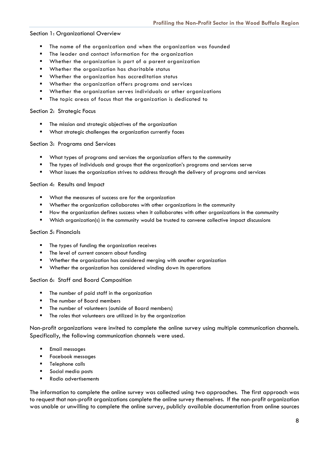# Section 1: Organizational Overview

- The name of the organization and when the organization was founded
- The leader and contact information for the organization
- Whether the organization is part of a parent organization
- Whether the organization has charitable status
- **Whether the organization has accreditation status**
- Whether the organization offers programs and services
- Whether the organization serves individuals or other organizations
- The topic areas of focus that the organization is dedicated to

#### Section 2: Strategic Focus

- The mission and strategic objectives of the organization
- What strategic challenges the organization currently faces

#### Section 3: Programs and Services

- What types of programs and services the organization offers to the community
- **The types of individuals and groups that the organization's programs and services serve**
- What issues the organization strives to address through the delivery of programs and services

#### Section 4: Results and Impact

- **What the measures of success are for the organization**
- Whether the organization collaborates with other organizations in the community
- How the organization defines success when it collaborates with other organizations in the community
- Which organization(s) in the community would be trusted to convene collective impact discussions

#### Section 5: Financials

- The types of funding the organization receives
- **The level of current concern about funding**
- Whether the organization has considered merging with another organization
- Whether the organization has considered winding down its operations

Section 6: Staff and Board Composition

- The number of paid staff in the organization
- The number of Board members
- The number of volunteers (outside of Board members)
- **The roles that volunteers are utilized in by the organization**

Non-profit organizations were invited to complete the online survey using multiple communication channels. Specifically, the following communication channels were used.

- Email messages
- **Facebook messages**
- Telephone calls
- Social media posts
- Radio advertisements

The information to complete the online survey was collected using two approaches. The first approach was to request that non-profit organizations complete the online survey themselves. If the non-profit organization was unable or unwilling to complete the online survey, publicly available documentation from online sources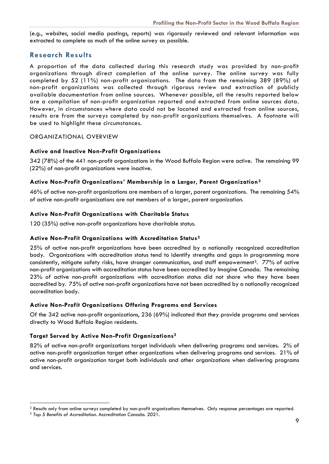(e.g., websites, social media postings, reports) was rigorously reviewed and relevant information was extracted to complete as much of the online survey as possible.

# **Research Results**

A proportion of the data collected during this research study was provided by non-profit organizations through direct completion of the online survey. The online survey was fully completed by 52 (11%) non-profit organizations. The data from the remaining 389 (89%) of non-profit organizations was collected through rigorous review and extraction of publicly available documentation from online sources. Whenever possible, all the results reported below are a compilation of non-profit organization reported and extracted from online sources data. However, in circumstances where data could not be located and extracted from online sources, results are from the surveys completed by non-profit organizations themselves. A footnote will be used to highlight these circumstances.

# ORGANIZATIONAL OVERVIEW

# **Active and Inactive Non-Profit Organizations**

342 (78%) of the 441 non-profit organizations in the Wood Buffalo Region were active. The remaining 99 (22%) of non-profit organizations were inactive.

# **Active Non-Profit Organizations' Membership in a Larger, Parent Organization[2](#page-10-0)**

46% of active non-profit organizations are members of a larger, parent organizations. The remaining 54% of active non-profit organizations are not members of a larger, parent organization.

# **Active Non-Profit Organizations with Charitable Status**

120 (35%) active non-profit organizations have charitable status.

# **Active Non-Profit Organizations with Accreditation Status2**

25% of active non-profit organizations have been accredited by a nationally recognized accreditation body. Organizations with accreditation status tend to identify strengths and gaps in programming more consistently, mitigate safety risks, have stronger communication, and staff empowerment<sup>[3](#page-10-1)</sup>. 77% of active non-profit organizations with accreditation status have been accredited by Imagine Canada. The remaining 23% of active non-profit organizations with accreditation status did not share who they have been accredited by. 75% of active non-profit organizations have not been accredited by a nationally recognized accreditation body.

# **Active Non-Profit Organizations Offering Programs and Services**

Of the 342 active non-profit organizations, 236 (69%) indicated that they provide programs and services directly to Wood Buffalo Region residents.

# **Target Served by Active Non-Profit Organizations2**

82% of active non-profit organizations target individuals when delivering programs and services. 2% of active non-profit organization target other organizations when delivering programs and services. 21% of active non-profit organization target both individuals and other organizations when delivering programs and services.

<span id="page-10-0"></span><sup>&</sup>lt;sup>2</sup> Results only from online surveys completed by non-profit organizations themselves. Only response percentages are reported.

<span id="page-10-1"></span><sup>3</sup> *Top 5 Benefits of Accreditation*. Accreditation Canada. 2021.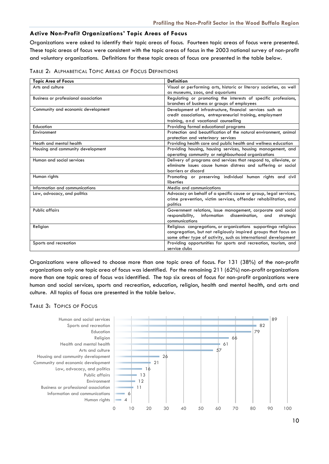# **Active Non-Profit Organizations' Topic Areas of Focus**

Organizations were asked to identify their topic areas of focus. Fourteen topic areas of focus were presented. These topic areas of focus were consistent with the topic areas of focus in the 2003 national survey of non-profit and voluntary organizations. Definitions for these topic areas of focus are presented in the table below.

| TABLE 2: ALPHABETICAL TOPIC AREAS OF FOCUS DEFINITIONS |  |
|--------------------------------------------------------|--|
|--------------------------------------------------------|--|

| <b>Topic Area of Focus</b>           | <b>Definition</b>                                                  |
|--------------------------------------|--------------------------------------------------------------------|
| Arts and culture                     | Visual or performing arts, historic or literary societies, as well |
|                                      | as museums, zoos, and aquariums                                    |
| Business or professional association | Regulating or promoting the interests of specific professions,     |
|                                      | branches of business or groups of employees                        |
| Community and economic development   | Development of infrastructure, financial services such as          |
|                                      | credit associations, entrepreneurial training, employment          |
|                                      | training, and vocational counselling                               |
| Education                            | Providing formal educational programs                              |
| Environment                          | Protection and beautification of the natural environment, animal   |
|                                      | protection and veterinary services                                 |
| Heath and mental health              | Providing health care and public health and wellness education     |
| Housing and community development    | Providing housing, housing services, housing management, and       |
|                                      | operating community or neighbourhood organizations                 |
| Human and social services            | Delivery of programs and services that respond to, alleviate, or   |
|                                      | eliminate issues cause human distress and suffering or social      |
|                                      | barriers or discord                                                |
| Human rights                         | Promoting or preserving individual human rights and civil          |
|                                      | liberties                                                          |
| Information and communications       | Media and communications                                           |
| Law, advocacy, and politics          | Advocacy on behalf of a specific cause or group, legal services,   |
|                                      | crime prevention, victim services, offender rehabilitation, and    |
|                                      | politics                                                           |
| <b>Public affairs</b>                | Government relations, issue management, corporate and social       |
|                                      | responsibility,<br>information<br>dissemination, and<br>strategic  |
|                                      | communications                                                     |
| Religion                             | Religious congregations, or organizations supportinga religious    |
|                                      | congregation, but not religiously inspired groups that focus on    |
|                                      | some other type of activity, such as international development     |
| Sports and recreation                | Providing opportunities for sports and recreation, tourism, and    |
|                                      | service clubs                                                      |

Organizations were allowed to choose more than one topic area of focus. For 131 (38%) of the non-profit organizations only one topic area of focus was identified. For the remaining 211 (62%) non-profit organizations more than one topic area of focus was identified. The top six areas of focus for non-profit organizations were human and social services, sports and recreation, education, religion, health and mental health, and arts and culture. All topics of focus are presented in the table below.

# TABLE 3: TOPICS OF FOCUS

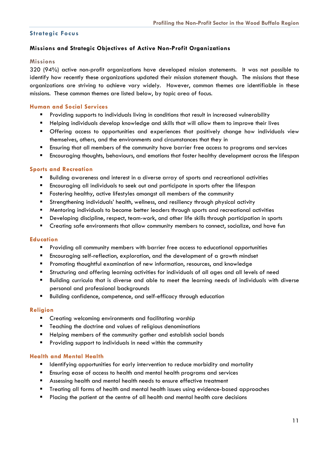# **Strategic Focus**

# **Missions and Strategic Objectives of Active Non-Profit Organizations**

# **Missions**

320 (94%) active non-profit organizations have developed mission statements. It was not possible to identify how recently these organizations updated their mission statement though. The missions that these organizations are striving to achieve vary widely. However, common themes are identifiable in these missions. These common themes are listed below, by topic area of focus.

# **Human and Social Services**

- **Providing supports to individuals living in conditions that result in increased vulnerability**
- Helping individuals develop knowledge and skills that will allow them to improve their lives
- Offering access to opportunities and experiences that positively change how individuals view themselves, others, and the environments and circumstances that they in
- Ensuring that all members of the community have barrier free access to programs and services
- Encouraging thoughts, behaviours, and emotions that foster healthy development across the lifespan

# **Sports and Recreation**

- Building awareness and interest in a diverse array of sports and recreational activities
- Encouraging all individuals to seek out and participate in sports after the lifespan
- **F** Fostering healthy, active lifestyles amongst all members of the community
- Strengthening individuals' health, wellness, and resiliency through physical activity
- Mentoring individuals to become better leaders through sports and recreational activities
- Developing discipline, respect, team-work, and other life skills through participation in sports
- **•** Creating safe environments that allow community members to connect, socialize, and have fun

# **Education**

- **Providing all community members with barrier free access to educational opportunities**
- Encouraging self-reflection, exploration, and the development of a growth mindset
- Promoting thoughtful examination of new information, resources, and knowledge
- Structuring and offering learning activities for individuals of all ages and all levels of need
- Building curricula that is diverse and able to meet the learning needs of individuals with diverse personal and professional backgrounds
- Building confidence, competence, and self-efficacy through education

# **Religion**

- **E** Creating welcoming environments and facilitating worship
- **Teaching the doctrine and values of religious denominations**
- **Helping members of the community gather and establish social bonds**
- **Providing support to individuals in need within the community**

# **Health and Mental Health**

- **IDENTIFY IDENTIFY IS CONTING TO A THE IDENTIFY A LOCAL THE IDENTIFY AND MOTHLY CONTIFY IS CONTIFY** and mortality
- Ensuring ease of access to health and mental health programs and services
- Assessing health and mental health needs to ensure effective treatment
- Treating all forms of health and mental health issues using evidence-based approaches
- Placing the patient at the centre of all health and mental health care decisions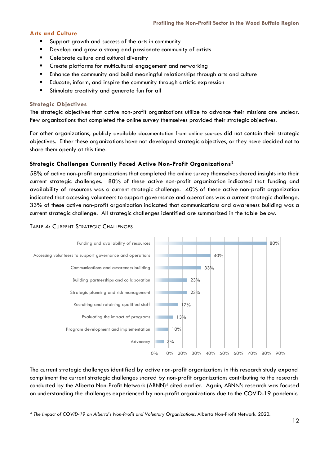# **Arts and Culture**

- Support growth and success of the arts in community
- Develop and grow a strong and passionate community of artists
- Celebrate culture and cultural diversity
- **E** Create platforms for multicultural engagement and networking
- Enhance the community and build meaningful relationships through arts and culture
- Educate, inform, and inspire the community through artistic expression
- **Stimulate creativity and generate fun for all**

# **Strategic Objectives**

The strategic objectives that active non-profit organizations utilize to advance their missions are unclear. Few organizations that completed the online survey themselves provided their strategic objectives.

For other organizations, publicly available documentation from online sources did not contain their strategic objectives. Either these organizations have not developed strategic objectives, or they have decided not to share them openly at this time.

# **Strategic Challenges Currently Faced Active Non-Profit Organizations2**

58% of active non-profit organizations that completed the online survey themselves shared insights into their current strategic challenges. 80% of these active non-profit organization indicated that funding and availability of resources was a current strategic challenge. 40% of these active non-profit organization indicated that accessing volunteers to support governance and operations was a current strategic challenge. 33% of these active non-profit organization indicated that communications and awareness building was a current strategic challenge. All strategic challenges identified are summarized in the table below.

#### $\frac{70}{6}$ 10% 13% 17% 23% 23% 33% 40% 80% 0% 10% 20% 30% 40% 50% 60% 70% 80% 90% Advocacy Program development and implementation Evaluating the impact of programs Recruiting and retaining qualified staff Strategic planning and risk management Building partnerships and collaboration Communications and awareness building Accessing volunteers to support governance and operations Funding and availability of resources

TABLE 4: CURRENT STRATEGIC CHALLENGES

The current strategic challenges identified by active non-profit organizations in this research study expand compliment the current strategic challenges shared by non-profit organizations contributing to the research conducted by the Alberta Non-Profit Network (ABNN)<sup>[4](#page-13-0)</sup> cited earlier. Again, ABNN's research was focused on understanding the challenges experienced by non-profit organizations due to the COVID-19 pandemic.

<span id="page-13-0"></span><sup>4</sup> *The Impact of COVID-19 on Alberta's Non-Profit and Voluntary Organizations.* Alberta Non-Profit Network. 2020.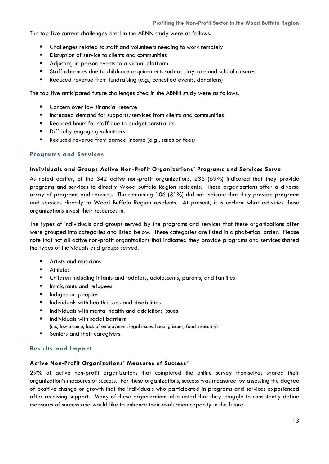The top five current challenges cited in the ABNN study were as follows.

- Challenges related to staff and volunteers needing to work remotely
- **Disruption of service to clients and communities**
- **Adjusting in-person events to a virtual platform**
- Staff absences due to childcare requirements such as daycare and school closures
- Reduced revenue from fundraising (e.g., cancelled events, donations)

The top five anticipated future challenges cited in the ABNN study were as follows.

- **EX Concern over low financial reserve**
- $\blacksquare$  Increased demand for supports/services from clients and communities
- **Reduced hours for staff due to budget constraints**
- **Difficulty engaging volunteers**
- Reduced revenue from earned income (e.g., sales or fees)

#### **Programs and Services**

#### **Individuals and Groups Active Non-Profit Organizations' Programs and Services Serve**

As noted earlier, of the 342 active non-profit organizations, 236 (69%) indicated that they provide programs and services to directly Wood Buffalo Region residents. These organizations offer a diverse array of programs and services. The remaining 106 (31%) did not indicate that they provide programs and services directly to Wood Buffalo Region residents. At present, it is unclear what activities these organizations invest their resources in.

The types of individuals and groups served by the programs and services that these organizations offer were grouped into categories and listed below. These categories are listed in alphabetical order. Please note that not all active non-profit organizations that indicated they provide programs and services shared the types of individuals and groups served.

- Artists and musicians
- Athletes
- Children including infants and toddlers, adolescents, parents, and families
- **Immigrants and refugees**
- **Indigenous peoples**
- $\blacksquare$  Individuals with health issues and disabilities
- **Individuals with mental health and addictions issues**
- **Individuals with social barriers** (i.e., low-income, lack of employment, legal issues, housing issues, food insecurity)
- Seniors and their caregivers

# **Results and Impact**

#### **Active Non-Profit Organizations' Measures of Success2**

29% of active non-profit organizations that completed the online survey themselves shared their organization's measures of success. For these organizations, success was measured by assessing the degree of positive change or growth that the individuals who participated in programs and services experienced after receiving support. Many of these organizations also noted that they struggle to consistently define measures of success and would like to enhance their evaluation capacity in the future.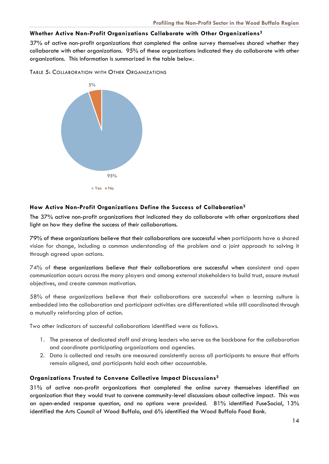# **Whether Active Non-Profit Organizations Collaborate with Other Organizations2**

37% of active non-profit organizations that completed the online survey themselves shared whether they collaborate with other organizations. 95% of these organizations indicated they do collaborate with other organizations. This information is summarized in the table below.

TABLE 5: COLLABORATION WITH OTHER ORGANIZATIONS



# **How Active Non-Profit Organizations Define the Success of Collaboration2**

The 37% active non-profit organizations that indicated they do collaborate with other organizations shed light on how they define the success of their collaborations.

79% of these organizations believe that their collaborations are successful when participants have a shared vision for change, including a common understanding of the problem and a joint approach to solving it through agreed upon actions.

74% of these organizations believe that their collaborations are successful when consistent and open communication occurs across the many players and among external stakeholders to build trust, assure mutual objectives, and create common motivation.

58% of these organizations believe that their collaborations are successful when a learning culture is embedded into the collaboration and participant activities are differentiated while still coordinated through a mutually reinforcing plan of action.

Two other indicators of successful collaborations identified were as follows.

- 1. The presence of dedicated staff and strong leaders who serve as the backbone for the collaboration and coordinate participating organizations and agencies.
- 2. Data is collected and results are measured consistently across all participants to ensure that efforts remain aligned, and participants hold each other accountable.

# **Organizations Trusted to Convene Collective Impact Discussions2**

31% of active non-profit organizations that completed the online survey themselves identified an organization that they would trust to convene community-level discussions about collective impact. This was an open-ended response question, and no options were provided. 81% identified FuseSocial, 13% identified the Arts Council of Wood Buffalo, and 6% identified the Wood Buffalo Food Bank.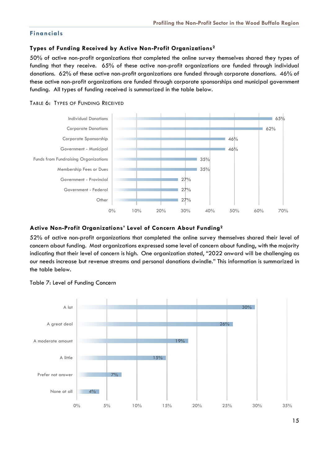# **Financials**

# **Types of Funding Received by Active Non-Profit Organizations2**

50% of active non-profit organizations that completed the online survey themselves shared they types of funding that they receive. 65% of these active non-profit organizations are funded through individual donations. 62% of these active non-profit organizations are funded through corporate donations. 46% of these active non-profit organizations are funded through corporate sponsorships and municipal government funding. All types of funding received is summarized in the table below.



#### TABLE 6: TYPES OF FUNDING RECEIVED

# **Active Non-Profit Organizations' Level of Concern About Funding2**

52% of active non-profit organizations that completed the online survey themselves shared their level of concern about funding. Most organizations expressed some level of concern about funding, with the majority indicating that their level of concern is high. One organization stated, "2022 onward will be challenging as our needs increase but revenue streams and personal donations dwindle." This information is summarized in the table below.



Table 7: Level of Funding Concern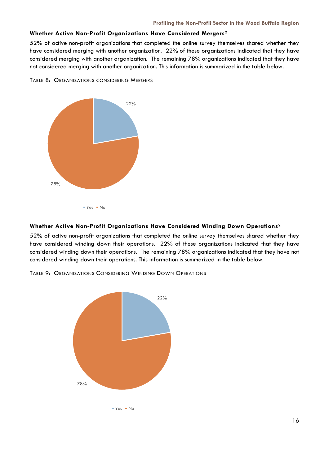# **Whether Active Non-Profit Organizations Have Considered Mergers2**

52% of active non-profit organizations that completed the online survey themselves shared whether they have considered merging with another organization. 22% of these organizations indicated that they have considered merging with another organization. The remaining 78% organizations indicated that they have not considered merging with another organization. This information is summarized in the table below.



TABLE 8: ORGANIZATIONS CONSIDERING MERGERS

# **Whether Active Non-Profit Organizations Have Considered Winding Down Operations2**

52% of active non-profit organizations that completed the online survey themselves shared whether they have considered winding down their operations. 22% of these organizations indicated that they have considered winding down their operations. The remaining 78% organizations indicated that they have not considered winding down their operations. This information is summarized in the table below.

TABLE 9: ORGANIZATIONS CONSIDERING WINDING DOWN OPERATIONS

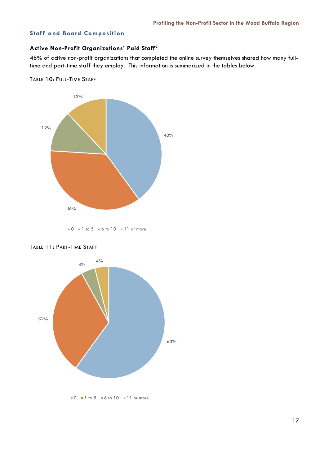# **Staff and Board Composition**

# **Active Non-Profit Organizations' Paid Staff2**

48% of active non-profit organizations that completed the online survey themselves shared how many fulltime and part-time staff they employ. This information is summarized in the tables below.







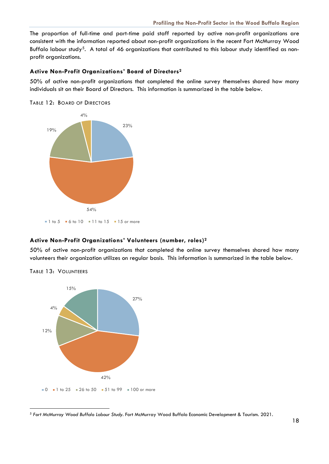The proportion of full-time and part-time paid staff reported by active non-profit organizations are consistent with the information reported about non-profit organizations in the recent Fort McMurray Wood Buffalo labour study<sup>[5](#page-19-0)</sup>. A total of 46 organizations that contributed to this labour study identified as nonprofit organizations.

#### **Active Non-Profit Organizations' Board of Directors2**

50% of active non-profit organizations that completed the online survey themselves shared how many individuals sit on their Board of Directors. This information is summarized in the table below.

TABLE 12: BOARD OF DIRECTORS



# **Active Non-Profit Organizations' Volunteers (number, roles)2**

50% of active non-profit organizations that completed the online survey themselves shared how many volunteers their organization utilizes on regular basis. This information is summarized in the table below.



TABLE 13: VOLUNTEERS

<span id="page-19-0"></span><sup>5</sup> *Fort McMurray Wood Buffalo Labour Study.* Fort McMurray Wood Buffalo Economic Development & Tourism. 2021.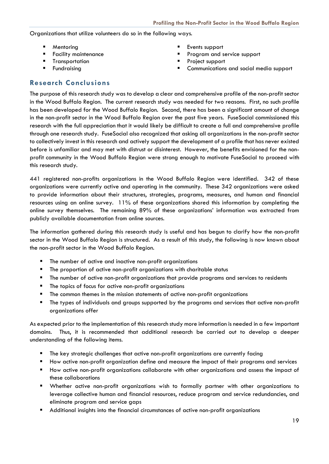# Organizations that utilize volunteers do so in the following ways.

- 
- 
- **Transportation Project support**
- 
- Mentoring **Events** support
- **Facility maintenance Community Community** Program and service support
	-
	- Fundraising Communications and social media support

# **Research Conclusions**

The purpose of this research study was to develop a clear and comprehensive profile of the non-profit sector in the Wood Buffalo Region. The current research study was needed for two reasons. First, no such profile has been developed for the Wood Buffalo Region. Second, there has been a significant amount of change in the non-profit sector in the Wood Buffalo Region over the past five years. FuseSocial commissioned this research with the full appreciation that it would likely be difficult to create a full and comprehensive profile through one research study. FuseSocial also recognized that asking all organizations in the non-profit sector to collectively invest in this research and actively support the development of a profile that has never existed before is unfamiliar and may met with distrust or disinterest. However, the benefits envisioned for the nonprofit community in the Wood Buffalo Region were strong enough to motivate FuseSocial to proceed with this research study.

441 registered non-profits organizations in the Wood Buffalo Region were identified. 342 of these organizations were currently active and operating in the community. These 342 organizations were asked to provide information about their structures, strategies, programs, measures, and human and financial resources using an online survey. 11% of these organizations shared this information by completing the online survey themselves. The remaining 89% of these organizations' information was extracted from publicly available documentation from online sources.

The information gathered during this research study is useful and has begun to clarify how the non-profit sector in the Wood Buffalo Region is structured. As a result of this study, the following is now known about the non-profit sector in the Wood Buffalo Region.

- The number of active and inactive non-profit organizations
- **F** The proportion of active non-profit organizations with charitable status
- **The number of active non-profit organizations that provide programs and services to residents**
- **The topics of focus for active non-profit organizations**
- **The common themes in the mission statements of active non-profit organizations**
- The types of individuals and groups supported by the programs and services that active non-profit organizations offer

As expected prior to the implementation of this research study more information is needed in a few important domains. Thus, it is recommended that additional research be carried out to develop a deeper understanding of the following items.

- **The key strategic challenges that active non-profit organizations are currently facing**
- How active non-profit organization define and measure the impact of their programs and services
- How active non-profit organizations collaborate with other organizations and assess the impact of these collaborations
- Whether active non-profit organizations wish to formally partner with other organizations to leverage collective human and financial resources, reduce program and service redundancies, and eliminate program and service gaps
- Additional insights into the financial circumstances of active non-profit organizations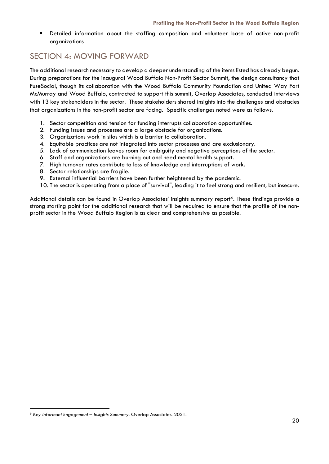Detailed information about the staffing composition and volunteer base of active non-profit organizations

# SECTION 4: MOVING FORWARD

The additional research necessary to develop a deeper understanding of the items listed has already begun. During preparations for the inaugural Wood Buffalo Non-Profit Sector Summit, the design consultancy that FuseSocial, though its collaboration with the Wood Buffalo Community Foundation and United Way Fort McMurray and Wood Buffalo, contracted to support this summit, Overlap Associates, conducted interviews with 13 key stakeholders in the sector. These stakeholders shared insights into the challenges and obstacles that organizations in the non-profit sector are facing. Specific challenges noted were as follows.

- 1. Sector competition and tension for funding interrupts collaboration opportunities.
- 2. Funding issues and processes are a large obstacle for organizations.
- 3. Organizations work in silos which is a barrier to collaboration.
- 4. Equitable practices are not integrated into sector processes and are exclusionary.
- 5. Lack of communication leaves room for ambiguity and negative perceptions of the sector.
- 6. Staff and organizations are burning out and need mental health support.
- 7. High turnover rates contribute to loss of knowledge and interruptions of work.
- 8. Sector relationships are fragile.
- 9. External influential barriers have been further heightened by the pandemic.
- 10. The sector is operating from a place of "survival", leading it to feel strong and resilient, but insecure.

Additional details can be found in Overlap Associates' insights summary report<sup>[6](#page-21-0)</sup>. These findings provide a strong starting point for the additional research that will be required to ensure that the profile of the nonprofit sector in the Wood Buffalo Region is as clear and comprehensive as possible.

<span id="page-21-0"></span><sup>6</sup> *Key Informant Engagement – Insights Summary.* Overlap Associates. 2021.